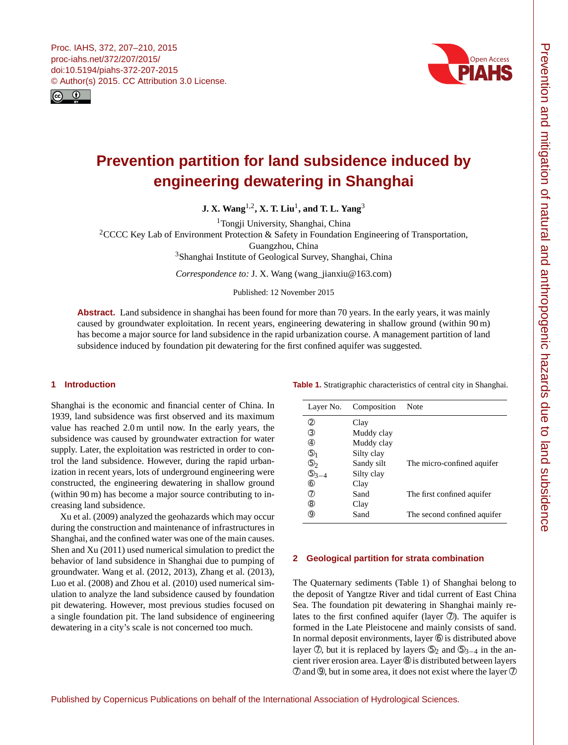<span id="page-0-1"></span>



# **Prevention partition for land subsidence induced by engineering dewatering in Shanghai**

**J. X. Wang**[1,2](#page-0-0) **, X. T. Liu**[1](#page-0-0) **, and T. L. Yang**[3](#page-0-0)

<sup>1</sup>Tongji University, Shanghai, China

<sup>2</sup>CCCC Key Lab of Environment Protection & Safety in Foundation Engineering of Transportation,

Guangzhou, China

<sup>3</sup>Shanghai Institute of Geological Survey, Shanghai, China

*Correspondence to:* J. X. Wang (wang\_jianxiu@163.com)

Published: 12 November 2015

**Abstract.** Land subsidence in shanghai has been found for more than 70 years. In the early years, it was mainly caused by groundwater exploitation. In recent years, engineering dewatering in shallow ground (within 90 m) has become a major source for land subsidence in the rapid urbanization course. A management partition of land subsidence induced by foundation pit dewatering for the first confined aquifer was suggested.

# <span id="page-0-0"></span>**1 Introduction**

Shanghai is the economic and financial center of China. In 1939, land subsidence was first observed and its maximum value has reached 2.0 m until now. In the early years, the subsidence was caused by groundwater extraction for water supply. Later, the exploitation was restricted in order to control the land subsidence. However, during the rapid urbanization in recent years, lots of underground engineering were constructed, the engineering dewatering in shallow ground (within 90 m) has become a major source contributing to increasing land subsidence.

Xu et al. (2009) analyzed the geohazards which may occur during the construction and maintenance of infrastructures in Shanghai, and the confined water was one of the main causes. Shen and Xu (2011) used numerical simulation to predict the behavior of land subsidence in Shanghai due to pumping of groundwater. Wang et al. (2012, 2013), Zhang et al. (2013), Luo et al. (2008) and Zhou et al. (2010) used numerical simulation to analyze the land subsidence caused by foundation pit dewatering. However, most previous studies focused on a single foundation pit. The land subsidence of engineering dewatering in a city's scale is not concerned too much.

| Layer No.          | Composition | Note                        |
|--------------------|-------------|-----------------------------|
| ②                  | Clay        |                             |
| ③                  | Muddy clay  |                             |
| 4                  | Muddy clay  |                             |
| $\circledcirc_1$   | Silty clay  |                             |
| $\circledS_2$      | Sandy silt  | The micro-confined aquifer  |
| $\mathbb{G}_{3-4}$ | Silty clay  |                             |
| $\circledast$      | Clay        |                             |
| (7)                | Sand        | The first confined aquifer  |
| (8)                | Clay        |                             |
| (9)                | Sand        | The second confined aquiter |

**Table 1.** Stratigraphic characteristics of central city in Shanghai.

#### **2 Geological partition for strata combination**

The Quaternary sediments (Table 1) of Shanghai belong to the deposit of Yangtze River and tidal current of East China Sea. The foundation pit dewatering in Shanghai mainly relates to the first confined aquifer (layer  $\circled{2}$ ). The aquifer is formed in the Late Pleistocene and mainly consists of sand. In normal deposit environments, layer  $\circledcirc$  is distributed above layer  $\mathcal{D}$ , but it is replaced by layers  $\mathcal{D}_2$  and  $\mathcal{D}_{3-4}$  in the ancient river erosion area. Layer ➇ is distributed between layers  $\oslash$  and  $\oslash$ , but in some area, it does not exist where the layer  $\oslash$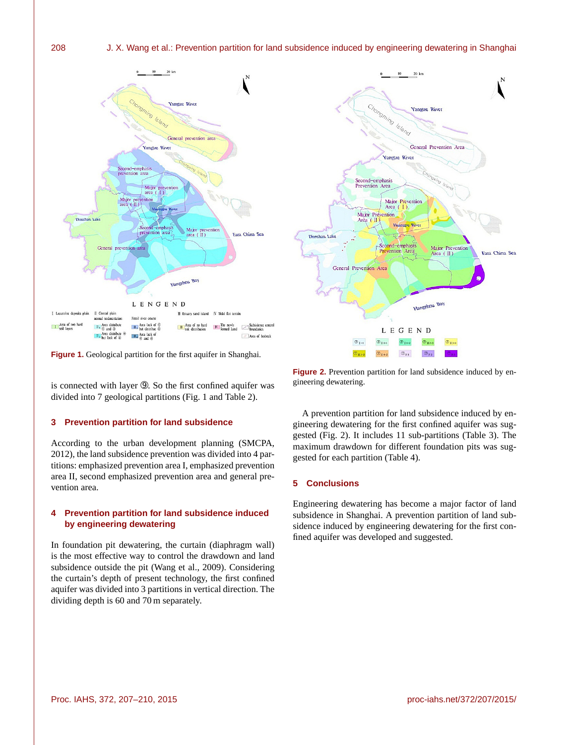## 208 J. X. Wang et al.: Prevention partition for land subsidence induced by engineering dewatering in Shanghai





**Figure 1.** Geological partition for the first aquifer in Shanghai.

is connected with layer ➈. So the first confined aquifer was divided into 7 geological partitions (Fig. 1 and Table 2).

#### **3 Prevention partition for land subsidence**

According to the urban development planning (SMCPA, 2012), the land subsidence prevention was divided into 4 partitions: emphasized prevention area I, emphasized prevention area II, second emphasized prevention area and general prevention area.

# **4 Prevention partition for land subsidence induced by engineering dewatering**

In foundation pit dewatering, the curtain (diaphragm wall) is the most effective way to control the drawdown and land subsidence outside the pit (Wang et al., 2009). Considering the curtain's depth of present technology, the first confined aquifer was divided into 3 partitions in vertical direction. The dividing depth is 60 and 70 m separately.

**Figure 2.** Prevention partition for land subsidence induced by engineering dewatering.

A prevention partition for land subsidence induced by engineering dewatering for the first confined aquifer was suggested (Fig. 2). It includes 11 sub-partitions (Table 3). The maximum drawdown for different foundation pits was suggested for each partition (Table 4).

#### **5 Conclusions**

Engineering dewatering has become a major factor of land subsidence in Shanghai. A prevention partition of land subsidence induced by engineering dewatering for the first confined aquifer was developed and suggested.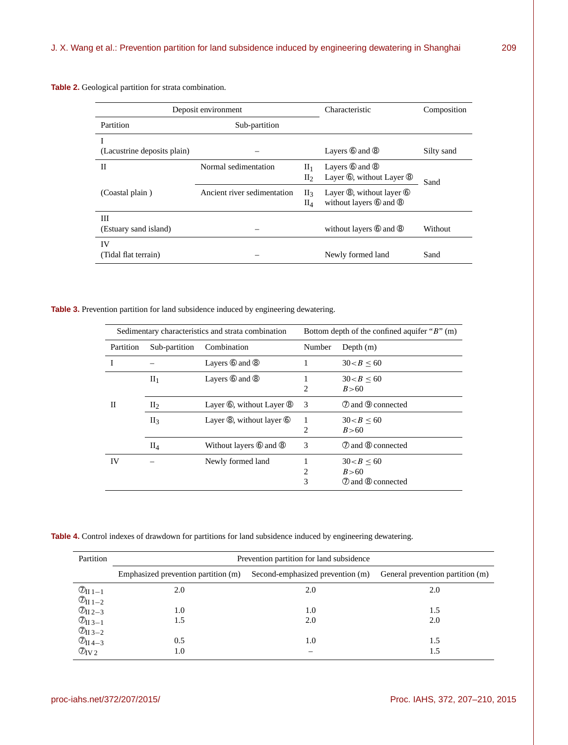**Table 2.** Geological partition for strata combination.

| Deposit environment              |                             |                                                  | Characteristic                                                        | Composition |
|----------------------------------|-----------------------------|--------------------------------------------------|-----------------------------------------------------------------------|-------------|
| Partition                        | Sub-partition               |                                                  |                                                                       |             |
| I<br>(Lacustrine deposits plain) |                             |                                                  | Layers $@$ and $@$                                                    | Silty sand  |
| Н                                | Normal sedimentation        | $\rm{II}_1$<br>$\mathop{\mathrm{II}}\nolimits_2$ | Layers $@$ and $@$<br>Layer <sup>®</sup> , without Layer <sup>®</sup> | Sand        |
| (Coastal plain)                  | Ancient river sedimentation | $\prod_{\mathcal{R}}$<br>$\rm{II}_4$             | Layer ®, without layer ®<br>without layers 6 and 8                    |             |
| Ш<br>(Estuary sand island)       |                             |                                                  | without layers $\circledcirc$ and $\circledcirc$                      | Without     |
| IV<br>(Tidal flat terrain)       |                             |                                                  | Newly formed land                                                     | Sand        |

**Table 3.** Prevention partition for land subsidence induced by engineering dewatering.

| Sedimentary characteristics and strata combination |                 | Bottom depth of the confined aquifer " $B$ " (m)  |        |                                            |
|----------------------------------------------------|-----------------|---------------------------------------------------|--------|--------------------------------------------|
| Partition                                          | Sub-partition   | Combination                                       | Number | Depth $(m)$                                |
|                                                    |                 | Layers $@$ and $@$                                |        | 30 < B < 60                                |
|                                                    | $\rm{II}_1$     | Layers $@$ and $@$                                | 2      | 30 < B < 60<br>B > 60                      |
| П                                                  | II <sub>2</sub> | Layer $\circled{0}$ , without Layer $\circled{0}$ | 3      | 2 and 9 connected                          |
|                                                    | $\prod_3$       | Layer $\circledR$ , without layer $\circledR$     | 2      | 30 < B < 60<br>B > 60                      |
|                                                    | $\rm{II}_4$     | Without layers <b>6</b> and <b>8</b>              | 3      | 2 and 8 connected                          |
| IV                                                 |                 | Newly formed land                                 | 2<br>3 | 30 < B < 60<br>B > 60<br>7 and 8 connected |

**Table 4.** Control indexes of drawdown for partitions for land subsidence induced by engineering dewatering.

| Partition                         | Prevention partition for land subsidence |                                  |                                  |  |  |  |
|-----------------------------------|------------------------------------------|----------------------------------|----------------------------------|--|--|--|
|                                   | Emphasized prevention partition (m)      | Second-emphasized prevention (m) | General prevention partition (m) |  |  |  |
| $\mathcal{O}_{II 1-1}$            | 2.0                                      | 2.0                              | 2.0                              |  |  |  |
| $\mathcal{O}_{\mathrm{II}\,1-2}$  |                                          |                                  |                                  |  |  |  |
| $\mathcal{D}_{II\,2-3}$           | 1.0                                      | 1.0                              | 1.5                              |  |  |  |
| $\mathcal{O}_{\textrm{II}~3-1}$   | 1.5                                      | 2.0                              | 2.0                              |  |  |  |
| $\mathcal{O}_{\textrm{II}~3-2}$   |                                          |                                  |                                  |  |  |  |
| $\overline{\mathcal{O}}_{II}$ 4-3 | 0.5                                      | 1.0                              | 1.5                              |  |  |  |
| $\mathcal{O}_{\mathrm{IV}}$ 2     | 1.0                                      | –                                | 1.5                              |  |  |  |